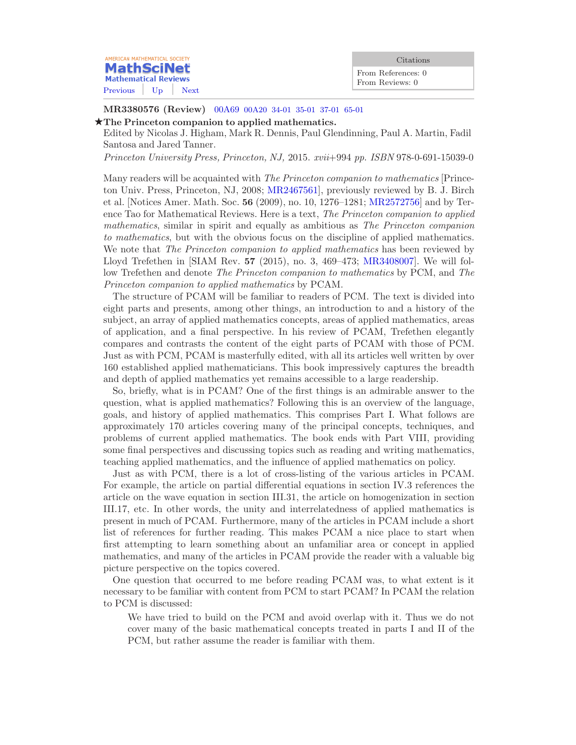| AMERICAN MATHEMATICAL SOCIETY                    | Citations                             |
|--------------------------------------------------|---------------------------------------|
| <b>MathSciNet</b><br><b>Mathematical Reviews</b> | From References: 0<br>From Reviews: 0 |
| Previous   Up  <br>Next.                         |                                       |

MR3380576 (Review) 00A69 [00A20 34-01 35-01 37-01 65-01](http://ams.mpim-bonn.mpg.de/mathscinet/search/mscdoc.html?code=00A69%2C%2800A20%2C34%2D01%2C35%2D01%2C37%2D01%2C65%2D01%29)

## $\star$ The Princeton companion to applied mathematics.

Edited by Nicolas J. Higham, Mark R. Dennis, Paul Glendinning, Paul A. Martin, Fadil Santosa and Jared Tanner.

Princeton University Press, Princeton, NJ, 2015. xvii+994 pp. ISBN 978-0-691-15039-0

Many readers will be acquainted with *The Princeton companion to mathematics* [Princeton Univ. Press, Princeton, NJ, 2008; [MR2467561](http://ams.mpim-bonn.mpg.de/mathscinet/pdf/2467561.pdf)], previously reviewed by B. J. Birch et al. [Notices Amer. Math. Soc. 56 (2009), no. 10, 1276–1281; [MR2572756](http://ams.mpim-bonn.mpg.de/mathscinet/pdf/2572756.pdf)] and by Terence Tao for Mathematical Reviews. Here is a text, The Princeton companion to applied mathematics, similar in spirit and equally as ambitious as The Princeton companion to mathematics, but with the obvious focus on the discipline of applied mathematics. We note that *The Princeton companion to applied mathematics* has been reviewed by Lloyd Trefethen in [SIAM Rev. 57 (2015), no. 3, 469–473; [MR3408007](http://ams.mpim-bonn.mpg.de/mathscinet/pdf/3408007.pdf)]. We will follow Trefethen and denote *The Princeton companion to mathematics* by PCM, and *The* Princeton companion to applied mathematics by PCAM.

The structure of PCAM will be familiar to readers of PCM. The text is divided into eight parts and presents, among other things, an introduction to and a history of the subject, an array of applied mathematics concepts, areas of applied mathematics, areas of application, and a final perspective. In his review of PCAM, Trefethen elegantly compares and contrasts the content of the eight parts of PCAM with those of PCM. Just as with PCM, PCAM is masterfully edited, with all its articles well written by over 160 established applied mathematicians. This book impressively captures the breadth and depth of applied mathematics yet remains accessible to a large readership.

So, briefly, what is in PCAM? One of the first things is an admirable answer to the question, what is applied mathematics? Following this is an overview of the language, goals, and history of applied mathematics. This comprises Part I. What follows are approximately 170 articles covering many of the principal concepts, techniques, and problems of current applied mathematics. The book ends with Part VIII, providing some final perspectives and discussing topics such as reading and writing mathematics, teaching applied mathematics, and the influence of applied mathematics on policy.

Just as with PCM, there is a lot of cross-listing of the various articles in PCAM. For example, the article on partial differential equations in section IV.3 references the article on the wave equation in section III.31, the article on homogenization in section III.17, etc. In other words, the unity and interrelatedness of applied mathematics is present in much of PCAM. Furthermore, many of the articles in PCAM include a short list of references for further reading. This makes PCAM a nice place to start when first attempting to learn something about an unfamiliar area or concept in applied mathematics, and many of the articles in PCAM provide the reader with a valuable big picture perspective on the topics covered.

One question that occurred to me before reading PCAM was, to what extent is it necessary to be familiar with content from PCM to start PCAM? In PCAM the relation to PCM is discussed:

We have tried to build on the PCM and avoid overlap with it. Thus we do not cover many of the basic mathematical concepts treated in parts I and II of the PCM, but rather assume the reader is familiar with them.